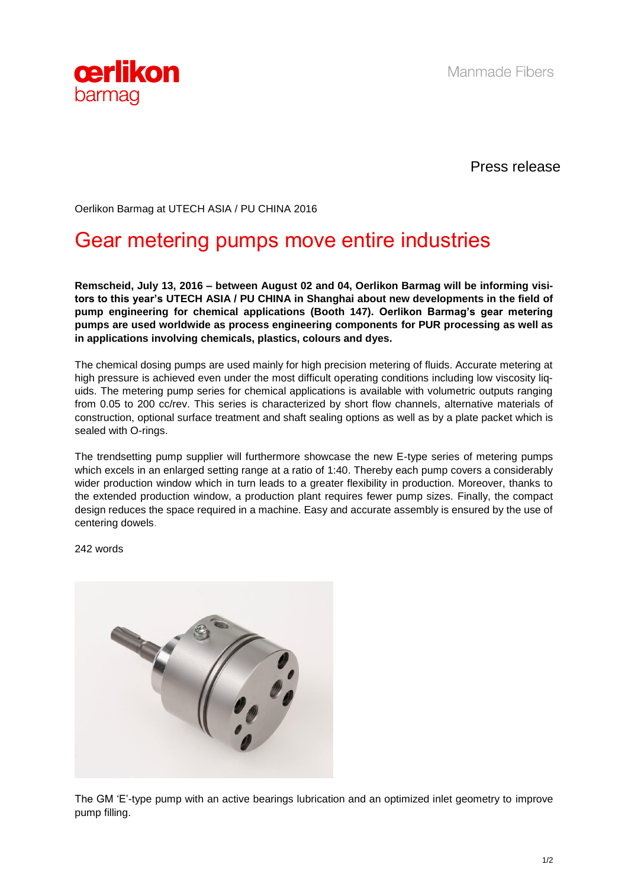

Press release

Oerlikon Barmag at UTECH ASIA / PU CHINA 2016

## Gear metering pumps move entire industries

**Remscheid, July 13, 2016 – between August 02 and 04, Oerlikon Barmag will be informing visitors to this year's UTECH ASIA / PU CHINA in Shanghai about new developments in the field of pump engineering for chemical applications (Booth 147). Oerlikon Barmag's gear metering pumps are used worldwide as process engineering components for PUR processing as well as in applications involving chemicals, plastics, colours and dyes.**

The chemical dosing pumps are used mainly for high precision metering of fluids. Accurate metering at high pressure is achieved even under the most difficult operating conditions including low viscosity liquids. The metering pump series for chemical applications is available with volumetric outputs ranging from 0.05 to 200 cc/rev. This series is characterized by short flow channels, alternative materials of construction, optional surface treatment and shaft sealing options as well as by a plate packet which is sealed with O-rings.

The trendsetting pump supplier will furthermore showcase the new E-type series of metering pumps which excels in an enlarged setting range at a ratio of 1:40. Thereby each pump covers a considerably wider production window which in turn leads to a greater flexibility in production. Moreover, thanks to the extended production window, a production plant requires fewer pump sizes. Finally, the compact design reduces the space required in a machine. Easy and accurate assembly is ensured by the use of centering dowels.

242 words



The GM 'E'-type pump with an active bearings lubrication and an optimized inlet geometry to improve pump filling.